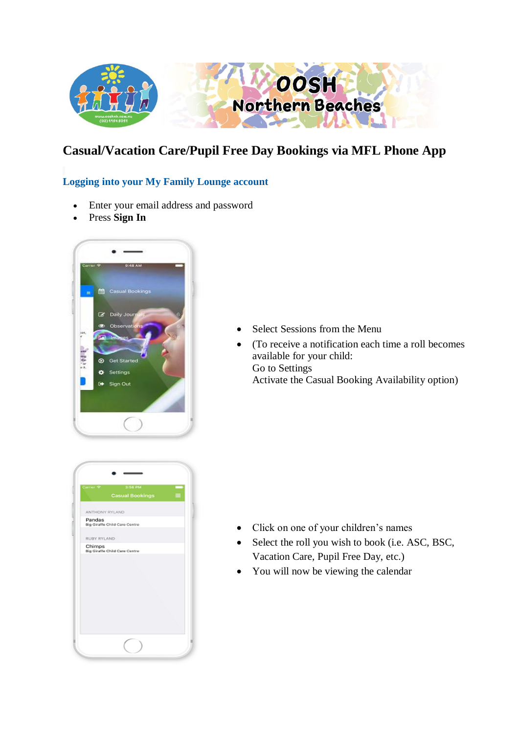

# **Casual/Vacation Care/Pupil Free Day Bookings via MFL Phone App**

## **Logging into your My Family Lounge account**

- Enter your email address and password
- Press **Sign In**



|                |                               | 3:56 PM<br><b>Casual Bookings</b> | ≡ |
|----------------|-------------------------------|-----------------------------------|---|
| ANTHONY RYLAND |                               |                                   |   |
| Pandas         | Big Giraffe Child Care Centre |                                   |   |
| RUBY RYLAND    |                               |                                   |   |
| Chimps         | Big Giraffe Child Care Centre |                                   |   |
|                |                               |                                   |   |
|                |                               |                                   |   |

- Select Sessions from the Menu
- (To receive a notification each time a roll becomes available for your child: Go to Settings Activate the Casual Booking Availability option)

- Click on one of your children's names
- Select the roll you wish to book (i.e. ASC, BSC, Vacation Care, Pupil Free Day, etc.)
- You will now be viewing the calendar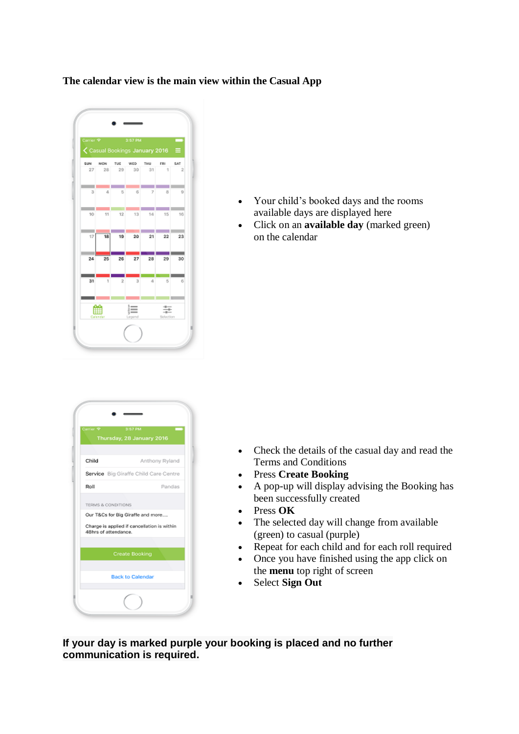#### **The calendar view is the main view within the Casual App**



- Your child's booked days and the rooms available days are displayed here
- Click on an **available day** (marked green) on the calendar

| Carrier <sub>9</sub> | 3:57 PM                                     |
|----------------------|---------------------------------------------|
|                      | Thursday, 28 January 2016                   |
|                      |                                             |
| Child                | Anthony Ryland                              |
|                      | Service Big Giraffe Child Care Centre       |
| Roll                 | Pandas                                      |
|                      |                                             |
| TERMS & CONDITIONS   |                                             |
|                      | Our T&Cs for Big Giraffe and more           |
| 48hrs of attendance. | Charge is applied if cancellation is within |
|                      |                                             |
|                      | Create Booking                              |
|                      |                                             |
|                      | <b>Back to Calendar</b>                     |
|                      |                                             |

- Check the details of the casual day and read the Terms and Conditions
- Press **Create Booking**
- A pop-up will display advising the Booking has been successfully created
- Press **OK**
- The selected day will change from available (green) to casual (purple)
- Repeat for each child and for each roll required
- Once you have finished using the app click on the **menu** top right of screen
- Select **Sign Out**

**If your day is marked purple your booking is placed and no further communication is required.**